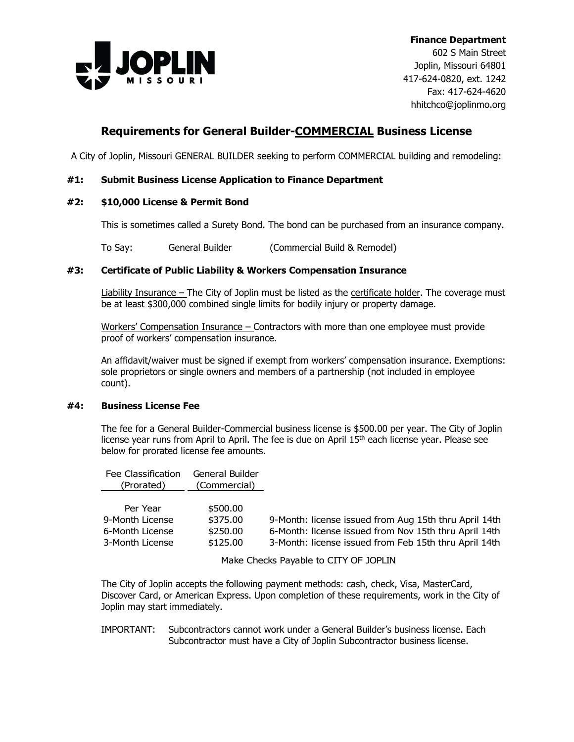

602 S Main Street Joplin, Missouri 64801 417-624-0820, ext. 1242 Fax: 417-624-4620 hhitchco@joplinmo.org

# **Requirements for General Builder-COMMERCIAL Business License**

A City of Joplin, Missouri GENERAL BUILDER seeking to perform COMMERCIAL building and remodeling:

### **#1: Submit Business License Application to Finance Department**

#### **#2: \$10,000 License & Permit Bond**

This is sometimes called a Surety Bond. The bond can be purchased from an insurance company.

To Say: General Builder (Commercial Build & Remodel)

#### **#3: Certificate of Public Liability & Workers Compensation Insurance**

Liability Insurance – The City of Joplin must be listed as the certificate holder. The coverage must be at least \$300,000 combined single limits for bodily injury or property damage.

Workers' Compensation Insurance – Contractors with more than one employee must provide proof of workers' compensation insurance.

An affidavit/waiver must be signed if exempt from workers' compensation insurance. Exemptions: sole proprietors or single owners and members of a partnership (not included in employee count).

#### **#4: Business License Fee**

The fee for a General Builder-Commercial business license is \$500.00 per year. The City of Joplin license year runs from April to April. The fee is due on April 15<sup>th</sup> each license year. Please see below for prorated license fee amounts.

| Fee Classification<br>(Prorated)                                  | General Builder<br>(Commercial)              |                                                                                                                                                                         |
|-------------------------------------------------------------------|----------------------------------------------|-------------------------------------------------------------------------------------------------------------------------------------------------------------------------|
| Per Year<br>9-Month License<br>6-Month License<br>3-Month License | \$500.00<br>\$375.00<br>\$250.00<br>\$125.00 | 9-Month: license issued from Aug 15th thru April 14th<br>6-Month: license issued from Nov 15th thru April 14th<br>3-Month: license issued from Feb 15th thru April 14th |

Make Checks Payable to CITY OF JOPLIN

The City of Joplin accepts the following payment methods: cash, check, Visa, MasterCard, Discover Card, or American Express. Upon completion of these requirements, work in the City of Joplin may start immediately.

#### IMPORTANT: Subcontractors cannot work under a General Builder's business license. Each Subcontractor must have a City of Joplin Subcontractor business license.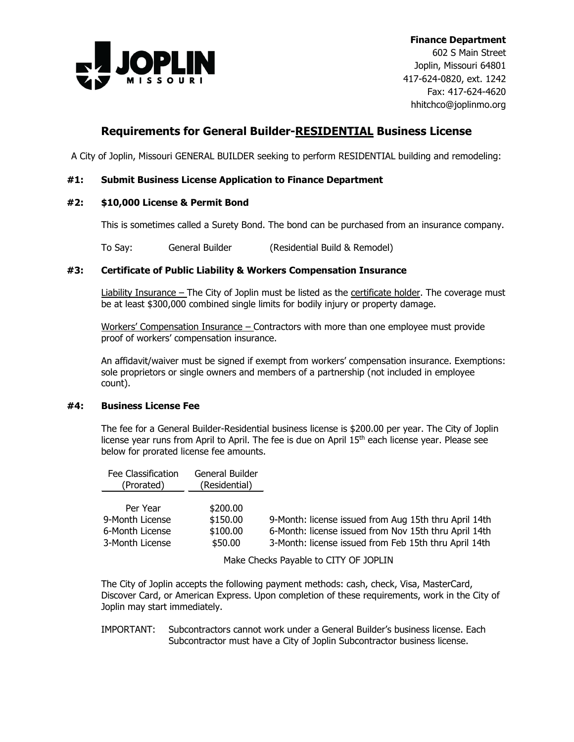

602 S Main Street Joplin, Missouri 64801 417-624-0820, ext. 1242 Fax: 417-624-4620 hhitchco@joplinmo.org

# **Requirements for General Builder-RESIDENTIAL Business License**

A City of Joplin, Missouri GENERAL BUILDER seeking to perform RESIDENTIAL building and remodeling:

### **#1: Submit Business License Application to Finance Department**

#### **#2: \$10,000 License & Permit Bond**

This is sometimes called a Surety Bond. The bond can be purchased from an insurance company.

To Say: General Builder (Residential Build & Remodel)

#### **#3: Certificate of Public Liability & Workers Compensation Insurance**

Liability Insurance – The City of Joplin must be listed as the certificate holder. The coverage must be at least \$300,000 combined single limits for bodily injury or property damage.

Workers' Compensation Insurance – Contractors with more than one employee must provide proof of workers' compensation insurance.

An affidavit/waiver must be signed if exempt from workers' compensation insurance. Exemptions: sole proprietors or single owners and members of a partnership (not included in employee count).

#### **#4: Business License Fee**

The fee for a General Builder-Residential business license is \$200.00 per year. The City of Joplin license vear runs from April to April. The fee is due on April 15<sup>th</sup> each license year. Please see below for prorated license fee amounts.

| Fee Classification<br>(Prorated)                                  | General Builder<br>(Residential)            |                                                                                                                                                                         |
|-------------------------------------------------------------------|---------------------------------------------|-------------------------------------------------------------------------------------------------------------------------------------------------------------------------|
| Per Year<br>9-Month License<br>6-Month License<br>3-Month License | \$200.00<br>\$150.00<br>\$100.00<br>\$50.00 | 9-Month: license issued from Aug 15th thru April 14th<br>6-Month: license issued from Nov 15th thru April 14th<br>3-Month: license issued from Feb 15th thru April 14th |

Make Checks Payable to CITY OF JOPLIN

The City of Joplin accepts the following payment methods: cash, check, Visa, MasterCard, Discover Card, or American Express. Upon completion of these requirements, work in the City of Joplin may start immediately.

#### IMPORTANT: Subcontractors cannot work under a General Builder's business license. Each Subcontractor must have a City of Joplin Subcontractor business license.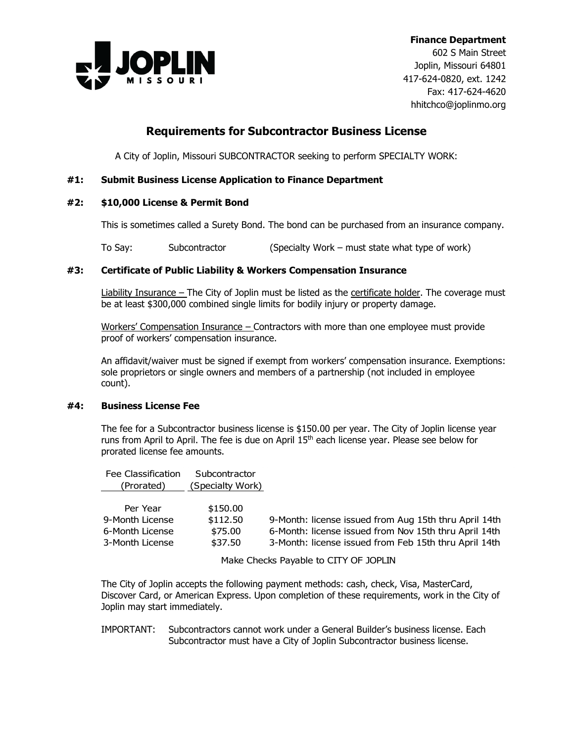

602 S Main Street Joplin, Missouri 64801 417-624-0820, ext. 1242 Fax: 417-624-4620 hhitchco@joplinmo.org

## **Requirements for Subcontractor Business License**

A City of Joplin, Missouri SUBCONTRACTOR seeking to perform SPECIALTY WORK:

## **#1: Submit Business License Application to Finance Department**

### **#2: \$10,000 License & Permit Bond**

This is sometimes called a Surety Bond. The bond can be purchased from an insurance company.

To Say: Subcontractor (Specialty Work – must state what type of work)

### **#3: Certificate of Public Liability & Workers Compensation Insurance**

Liability Insurance – The City of Joplin must be listed as the certificate holder. The coverage must be at least \$300,000 combined single limits for bodily injury or property damage.

Workers' Compensation Insurance – Contractors with more than one employee must provide proof of workers' compensation insurance.

An affidavit/waiver must be signed if exempt from workers' compensation insurance. Exemptions: sole proprietors or single owners and members of a partnership (not included in employee count).

#### **#4: Business License Fee**

The fee for a Subcontractor business license is \$150.00 per year. The City of Joplin license year runs from April to April. The fee is due on April 15<sup>th</sup> each license year. Please see below for prorated license fee amounts.

| Fee Classification<br>(Prorated)                                  | Subcontractor<br>(Specialty Work)          |                                                                                                                                                                         |
|-------------------------------------------------------------------|--------------------------------------------|-------------------------------------------------------------------------------------------------------------------------------------------------------------------------|
| Per Year<br>9-Month License<br>6-Month License<br>3-Month License | \$150.00<br>\$112.50<br>\$75.00<br>\$37.50 | 9-Month: license issued from Aug 15th thru April 14th<br>6-Month: license issued from Nov 15th thru April 14th<br>3-Month: license issued from Feb 15th thru April 14th |

Make Checks Payable to CITY OF JOPLIN

The City of Joplin accepts the following payment methods: cash, check, Visa, MasterCard, Discover Card, or American Express. Upon completion of these requirements, work in the City of Joplin may start immediately.

### IMPORTANT: Subcontractors cannot work under a General Builder's business license. Each Subcontractor must have a City of Joplin Subcontractor business license.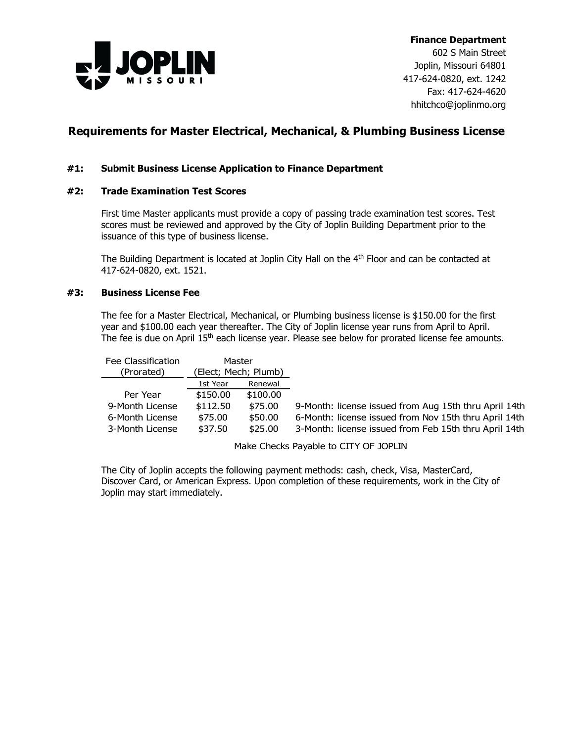

602 S Main Street Joplin, Missouri 64801 417-624-0820, ext. 1242 Fax: 417-624-4620 hhitchco@joplinmo.org

## **Requirements for Master Electrical, Mechanical, & Plumbing Business License**

### **#1: Submit Business License Application to Finance Department**

### **#2: Trade Examination Test Scores**

First time Master applicants must provide a copy of passing trade examination test scores. Test scores must be reviewed and approved by the City of Joplin Building Department prior to the issuance of this type of business license.

The Building Department is located at Joplin City Hall on the 4<sup>th</sup> Floor and can be contacted at 417-624-0820, ext. 1521.

#### **#3: Business License Fee**

The fee for a Master Electrical, Mechanical, or Plumbing business license is \$150.00 for the first year and \$100.00 each year thereafter. The City of Joplin license year runs from April to April. The fee is due on April 15<sup>th</sup> each license year. Please see below for prorated license fee amounts.

| Fee Classification | Master               |          |                                                       |
|--------------------|----------------------|----------|-------------------------------------------------------|
| (Prorated)         | (Elect; Mech; Plumb) |          |                                                       |
|                    | 1st Year             | Renewal  |                                                       |
| Per Year           | \$150.00             | \$100.00 |                                                       |
| 9-Month License    | \$112.50             | \$75.00  | 9-Month: license issued from Aug 15th thru April 14th |
| 6-Month License    | \$75.00              | \$50.00  | 6-Month: license issued from Nov 15th thru April 14th |
| 3-Month License    | \$37.50              | \$25.00  | 3-Month: license issued from Feb 15th thru April 14th |
|                    |                      |          |                                                       |

Make Checks Payable to CITY OF JOPLIN

The City of Joplin accepts the following payment methods: cash, check, Visa, MasterCard, Discover Card, or American Express. Upon completion of these requirements, work in the City of Joplin may start immediately.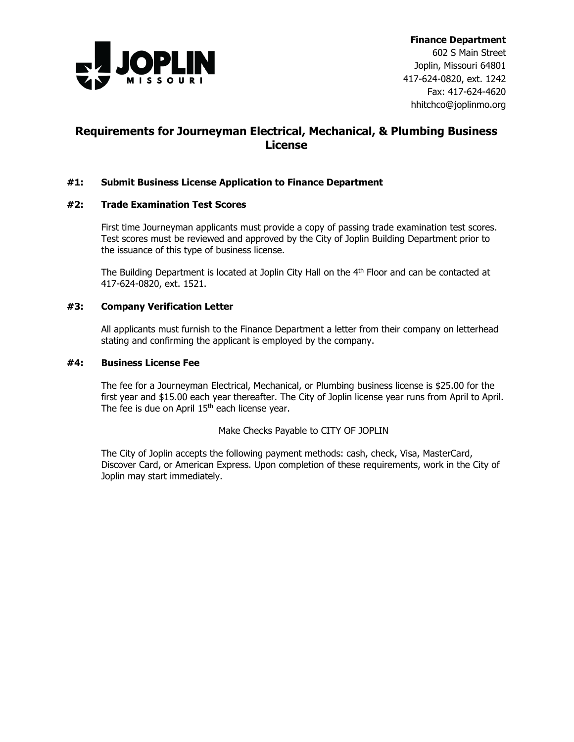

602 S Main Street Joplin, Missouri 64801 417-624-0820, ext. 1242 Fax: 417-624-4620 hhitchco@joplinmo.org

## **Requirements for Journeyman Electrical, Mechanical, & Plumbing Business License**

## **#1: Submit Business License Application to Finance Department**

#### **#2: Trade Examination Test Scores**

First time Journeyman applicants must provide a copy of passing trade examination test scores. Test scores must be reviewed and approved by the City of Joplin Building Department prior to the issuance of this type of business license.

The Building Department is located at Joplin City Hall on the 4<sup>th</sup> Floor and can be contacted at 417-624-0820, ext. 1521.

#### **#3: Company Verification Letter**

All applicants must furnish to the Finance Department a letter from their company on letterhead stating and confirming the applicant is employed by the company.

### **#4: Business License Fee**

The fee for a Journeyman Electrical, Mechanical, or Plumbing business license is \$25.00 for the first year and \$15.00 each year thereafter. The City of Joplin license year runs from April to April. The fee is due on April  $15<sup>th</sup>$  each license year.

Make Checks Payable to CITY OF JOPLIN

The City of Joplin accepts the following payment methods: cash, check, Visa, MasterCard, Discover Card, or American Express. Upon completion of these requirements, work in the City of Joplin may start immediately.